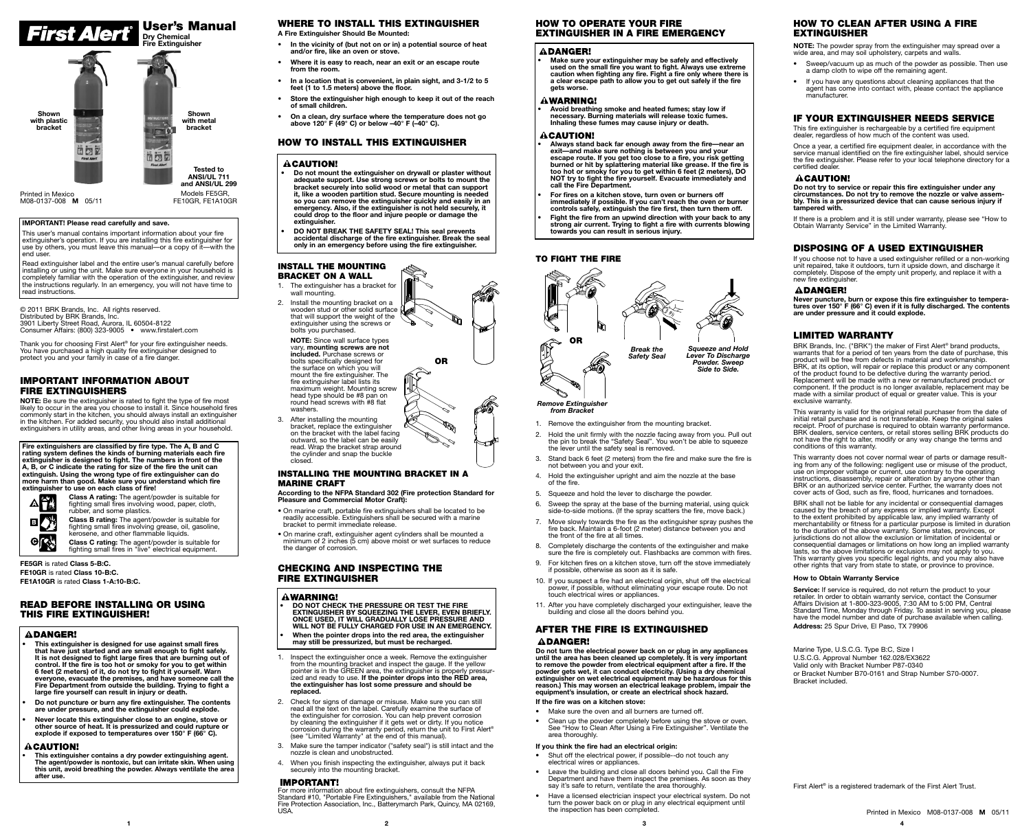

#### **IMPORTANT! Please read carefully and save.**

This user's manual contains important information about your fire extinguisher's operation. If you are installing this fire extinguisher for use by others, you must leave this manual—or a copy of it—with the end user

Read extinguisher label and the entire user's manual carefully before installing or using the unit. Make sure everyone in your household is completely familiar with the operation of the extinguisher, and review the instructions regularly. In an emergency, you will not have time to read instructions.

© 2011 BRK Brands, Inc. All rights reserved. Distributed by BRK Brands, Inc. 3901 Liberty Street Road, Aurora, IL 60504-8122 Consumer Affairs: (800) 323-9005 • www.firstalert.com

Thank you for choosing First Alert® for your fire extinguisher needs. You have purchased a high quality fire extinguisher designed to protect you and your family in case of a fire danger.

#### **IMPORTANT INFORMATION ABOUT FIRE EXTINGUISHERS**

**NOTE:** Be sure the extinguisher is rated to fight the type of fire most likely to occur in the area you choose to install it. Since household fires commonly start in the kitchen, you should always install an extinguisher in the kitchen. For added security, you should also install additional extinguishers in utility areas, and other living areas in your household.

Fire extinguishers are classified by fire type. The A, B and C<br>rating system defines the kinds of burning materials each fire<br>extinguisher is designed to fight. The numbers in front of the<br>A, B, or C indicate the rating fo **extinguish. Using the wrong type of fire extinguisher can do more harm than good. Make sure you understand which fire extinguisher to use on each class of fire!**

AFA B

 $\bullet$ 

fighting small fires involving wood, paper, cloth, rubber, and some plastics. **Class B rating:** The agent/powder is suitable for fighting small fires involving grease, oil, gasoline, kerosene, and other flammable liquids.

**Class A rating:** The agent/powder is suitable for

**Class C rating:** The agent/powder is suitable for fighting small fires in "live" electrical equipment.

**FE5GR** is rated **Class 5-B:C. FE10GR** is rated **Class 10-B:C. FE1A10GR** is rated **Class 1-A:10-B:C.**

## **READ BEFORE INSTALLING OR USING THIS FIRE EXTINGUISHER!**

## **ADANGER!**

- **• This extinguisher is designed for use against small fires that have just started and are small enough to fight safely. It is not designed to fight large fires that are burning out of control. If the fire is too hot or smoky for you to get within 6 feet (2 meters) of it, do not try to fight it yourself. Warn everyone, evacuate the premises, and have someone call the Fire Department from outside the building. Trying to fight a large fire yourself can result in injury or death.**
- **Do not puncture or burn any fire extinguisher. The contents are under pressure, and the extinguisher could explode.**
- **Never locate this extinguisher close to an engine, stove or other source of heat. It is pressurized and could rupture or explode if exposed to temperatures over 150° F (66° C).**

## **ACAUTION!**

**• This extinguisher contains a dry powder extinguishing agent. The agent/powder is nontoxic, but can irritate skin. When using this unit, avoid breathing the powder. Always ventilate the area after use.**

#### **WHERE TO INSTALL THIS EXTINGUISHER A Fire Extinguisher Should Be Mounted:**

- **• In the vicinity of (but not on or in) a potential source of heat and/or fire, like an oven or stove.**
- **• Where it is easy to reach, near an exit or an escape route from the room.**
- **• In a location that is convenient, in plain sight, and 3-1/2 to 5 feet (1 to 1.5 meters) above the floor.**
- **• Store the extinguisher high enough to keep it out of the reach of small children.**
- **• On a clean, dry surface where the temperature does not go above 120° F (49° C) or below –40° F (–40° C).**

#### **HOW TO INSTALL THIS EXTINGUISHER**

#### **ACAUTION!**

**INSTALL THE MOUNTING BRACKET ON A WALL**

- **• Do not mount the extinguisher on drywall or plaster without adequate support. Use strong screws or bolts to mount the bracket securely into solid wood or metal that can support it, like a wooden partition stud. Secure mounting is needed so you can remove the extinguisher quickly and easily in an emergency. Also, if the extinguisher is not held securely, it could drop to the floor and injure people or damage the extinguisher.**
- **• DO NOT BREAK THE SAFETY SEAL! This seal prevents accidental discharge of the fire extinguisher. Break the seal only in an emergency before using the fire extinguisher.**
- 1. The extinguisher has a bracket for wall mounting. 2. Install the mounting bracket on a wooden stud or other solid surface that will support the weight of the extinguisher using the screws or bolts you purchased. **NOTE:** Since wall surface types vary, **mounting screws are not included.** Purchase screws or bolts specifically designed for the surface on which you will mount the fire extinguisher. The fire extinguisher label lists its maximum weight. Mounting screw head type should be #8 pan on round head screws with #8 flat washers. 3. After installing the mounting bracket, replace the extinguisher<br>on the bracket with the label facing outward, so the label can be easily read. Wrap the bracket strap around the cylinder and snap the buckle closed. **OR**

#### **INSTALLING THE MOUNTING BRACKET IN A MARINE CRAFT**

#### **According to the NFPA Standard 302 (Fire protection Standard for Pleasure and Commercial Motor Craft):**

- On marine craft, portable fire extinguishers shall be located to be readily accessible. Extinguishers shall be secured with a marine bracket to permit immediate release.
- On marine craft, extinguisher agent cylinders shall be mounted a minimum of 2 inches (5 cm) above moist or wet surfaces to reduce the danger of corrosion.

## **CHECKING AND INSPECTING THE FIRE EXTINGUISHER**

#### **AWARNING!**

- **• DO NOT CHECK THE PRESSURE OR TEST THE FIRE EXTINGUISHER BY SQUEEZING THE LEVER, EVEN BRIEFLY. ONCE USED, IT WILL GRADUALLY LOSE PRESSURE AND WILL NOT BE FULLY CHARGED FOR USE IN AN EMERGENCY.**
- **When the pointer drops into the red area, the extinguisher may still be pressurized, but must be recharged.**
- 1. Inspect the extinguisher once a week. Remove the extinguisher from the mounting bracket and inspect the gauge. If the yellow pointer is in the GREEN area, the extinguisher is properly pressur-ized and ready to use. **If the pointer drops into the RED area, the extinguisher has lost some pressure and should be replaced.**
- 2. Check for signs of damage or misuse. Make sure you can still read all the text on the label. Carefully examine the surface of the extinguisher for corrosion. You can help prevent corrosion<br>by cleaning the extinguisher if it gets wet or dirty. If you notice<br>corrosion during the warranty period, return the unit to First Alert®<br>(see "Limited Warrant
- 3. Make sure the tamper indicator ("safety seal") is still intact and the nozzle is clean and unobstructed.
- 4. When you finish inspecting the extinguisher, always put it back securely into the mounting bracket.

#### **IMPORTANT!**

For more information about fire extinguishers, consult the NFPA Standard #10, "Portable Fire Extinguishers," available from the National Fire Protection Association, Inc., Batterymarch Park, Quincy, MA 02169, USA.

# **HOW TO OPERATE YOUR FIRE EXTINGUISHER IN A FIRE EMERGENCY**

#### **ADANGER!**

**• Make sure your extinguisher may be safely and effectively used on the small fire you want to fight. Always use extreme caution when fighting any fire. Fight a fire only where there is a clear escape path to allow you to get out safely if the fire gets worse.**

# **AWARNING!**

**• Avoid breathing smoke and heated fumes; stay low if necessary. Burning materials will release toxic fumes. Inhaling these fumes may cause injury or death.**

#### **ACAUTION!**

- Always stand back far enough away from the fire—near an exit—and make sure nothing is between you and your descape route. If you get too close to a fire, you risk getting burned or hit by splattering material like grease **call the Fire Department.**
- **• For fires on a kitchen stove, turn oven or burners off immediately if possible. If you can't reach the oven or burner controls safely, extinguish the fire first, then turn them off.**
- **Fight the fire from an upwind direction with your back to any strong air current. Trying to fight a fire with currents blowing towards you can result in serious injury.**

## **TO FIGHT THE FIRE**



- 1. Remove the extinguisher from the mounting bracket.
- 2. Hold the unit firmly with the nozzle facing away from you. Pull out the pin to break the "Safety Seal". You won't be able to squeeze the lever until the safety seal is removed.
- 3. Stand back 6 feet (2 meters) from the fire and make sure the fire is not between you and your exit.
- 4. Hold the extinguisher upright and aim the nozzle at the base of the fire.
- 5. Squeeze and hold the lever to discharge the powder.
- 6. Sweep the spray at the base of the burning material, using quick side-to-side motions. (If the spray scatters the fire, move back.)
- 7. Move slowly towards the fire as the extinguisher spray pushes the fire back. Maintain a 6-foot (2 meter) distance between you and the front of the fire at all times.
- 8. Completely discharge the contents of the extinguisher and make sure the fire is completely out. Flashbacks are common with fires.
- 9. For kitchen fires on a kitchen stove, turn off the stove immediately if interior mee on a nitement etere, tam t
- 10. If you suspect a fire had an electrical origin, shut off the electrical power, if possible, without eliminating your escape route. Do not touch electrical wires or appliances.
- 11. After you have completely discharged your extinguisher, leave the building and close all the doors behind you.

## **AFTER THE FIRE IS EXTINGUISHED ADANGER!**

**Do not turn the electrical power back on or plug in any appliances until the area has been cleaned up completely. It is very important to remove the powder from electrical equipment after a fire. If the powder gets wet, it can conduct electricity. (Using a dry chemical extinguisher on wet electrical equipment may be hazardous for this reason.) This may worsen an electrical leakage problem, impair the equipment's insulation, or create an electrical shock hazard.**

# **If the fire was on a kitchen stove:**

- Make sure the oven and all burners are turned off.
- Clean up the powder completely before using the stove or oven. See "How to Clean After Using a Fire Extinguisher". Ventilate the area thoroughly.

#### **If you think the fire had an electrical origin:**

- Shut off the electrical power, if possible--do not touch any electrical wires or appliances.
- Leave the building and close all doors behind you. Call the Fire Department and have them inspect the premises. As soon as they say it's safe to return, ventilate the area thoroughly.
- Have a licensed electrician inspect your electrical system. Do not turn the power back on or plug in any electrical equipment until the inspection has been completed.

# **HOW TO CLEAN AFTER USING A FIRE EXTINGUISHER**

**NOTE:** The powder spray from the extinguisher may spread over a wide area, and may soil upholstery, carpets and walls.

- Sweep/vacuum up as much of the powder as possible. Then use a damp cloth to wipe off the remaining agent.
- If you have any questions about cleaning appliances that the agent has come into contact with, please contact the appliance manufacturer.

# **IF YOUR EXTINGUISHER NEEDS SERVICE**

This fire extinguisher is rechargeable by a certified fire equipment dealer, regardless of how much of the content was used.

Once a year, a certified fire equipment dealer, in accordance with the service manual identified on the fire extinguisher label, should service the fire extinguisher. Please refer to your local telephone directory for a certified dealer.

## **ACAUTION!**

**Do not try to service or repair this fire extinguisher under any circumstances. Do not try to remove the nozzle or valve assembly. This is a pressurized device that can cause serious injury if tampered with.**

If there is a problem and it is still under warranty, please see "How to Obtain Warranty Service" in the Limited Warranty.

## **DISPOSING OF A USED EXTINGUISHER**

If you choose not to have a used extinguisher refilled or a non-working unit repaired, take it outdoors, turn it upside down, and discharge it completely. Dispose of the empty unit properly, and replace it with a new fire extinguisher.

## **ADANGER!**

**Never puncture, burn or expose this fire extinguisher to tempera-tures over 150° F (66° C) even if it is fully discharged. The contents are under pressure and it could explode.**

**LIMITED WARRANTY**<br>BRK Brands. Inc. ("BRK") the maker of First Alert® brand products. BRK Brands, Inc. ("BRK") are maker of First Alert® brand products, warrants that for a period of ten years from the date of purchase, this product will be free from defects in material and workmanship. BRK, at its option, will repair or replace this product or any component of the product found to be defective during the warranty period. Replacement will be made with a new or remanufactured product or component. If the product is no longer available, replacement may be made with a similar product of equal or greater value. This is your exclusive warranty.

This warranty is valid for the original retail purchaser from the date of initial retail purchase and is not transferable. Keep the original sales receipt. Proof of purchase is required to obtain warranty performance. BRK dealers, service centers, or retail stores selling BRK products do not have the right to alter, modify or any way change the terms and conditions of this warranty.

This warranty does not cover normal wear of parts or damage resulting from any of the following: negligent use or misuse of the product, use on improper voltage or current, use contrary to the operating instructions, disassembly, repair or alteration by anyone other than BRK or an authorized service center. Further, the warranty does not cover acts of God, such as fire, flood, hurricanes and tornadoes.

BRK shall not be liable for any incidental or consequential damages caused by the breach of any express or implied warranty. Except to the extent prohibited by applicable law, any implied warranty of merchantability or fitness for a particular purpose is limited in duration to the duration of the above warranty. Some states, provinces, or jurisdictions do not allow the exclusion or limitation of incidental or consequential damages or limitations on how long an implied warranty lasts, so the above limitations or exclusion may not apply to you. This warranty gives you specific legal rights, and you may also have other rights that vary from state to state, or province to province.

#### **How to Obtain Warranty Service**

Service: If service is required, do not return the product to your retailer. In order to obtain warranty service, contact the Consumer<br>Affairs Division at 1-800-323-9005, 7:30 AM to 5:00 PM, Central<br>Standard Time, Monday through Friday. To assist in serving you, please have the model number and date of purchase available when calling. **Address:** 25 Spur Drive, El Paso, TX 79906

Marine Type, U.S.C.G. Type B:C, Size I U.S.C.G. Approval Number 162.028/EX3622 Valid only with Bracket Number P87-0340 or Bracket Number B70-0161 and Strap Number S70-0007. Bracket included.

First Alert® is a registered trademark of the First Alert Trust.